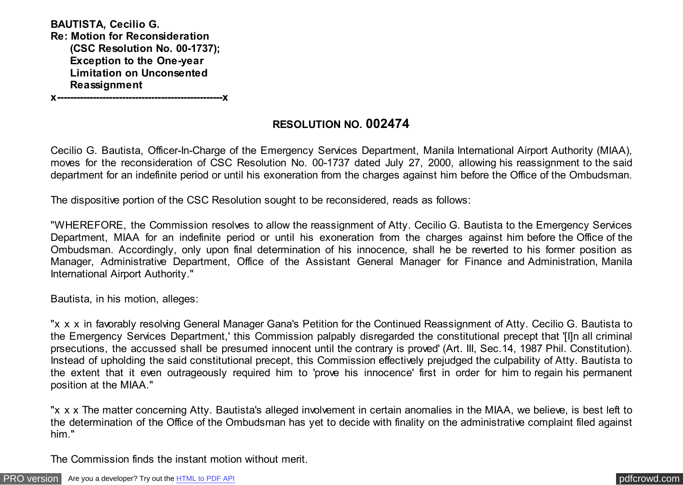**BAUTISTA, Cecilio G. Re: Motion for Reconsideration (CSC Resolution No. 00-1737); Exception to the One-year Limitation on Unconsented Reassignment**

**x---------------------------------------------------x**

# **RESOLUTION NO. 002474**

Cecilio G. Bautista, Officer-In-Charge of the Emergency Services Department, Manila International Airport Authority (MIAA), moves for the reconsideration of CSC Resolution No. 00-1737 dated July 27, 2000, allowing his reassignment to the said department for an indefinite period or until his exoneration from the charges against him before the Office of the Ombudsman.

The dispositive portion of the CSC Resolution sought to be reconsidered, reads as follows:

"WHEREFORE, the Commission resolves to allow the reassignment of Atty. Cecilio G. Bautista to the Emergency Services Department, MIAA for an indefinite period or until his exoneration from the charges against him before the Office of the Ombudsman. Accordingly, only upon final determination of his innocence, shall he be reverted to his former position as Manager, Administrative Department, Office of the Assistant General Manager for Finance and Administration, Manila International Airport Authority."

Bautista, in his motion, alleges:

"x x x in favorably resolving General Manager Gana's Petition for the Continued Reassignment of Atty. Cecilio G. Bautista to the Emergency Services Department,' this Commission palpably disregarded the constitutional precept that '[I]n all criminal prsecutions, the accussed shall be presumed innocent until the contrary is proved' (Art. III, Sec.14, 1987 Phil. Constitution). Instead of upholding the said constitutional precept, this Commission effectively prejudged the culpability of Atty. Bautista to the extent that it even outrageously required him to 'prove his innocence' first in order for him to regain his permanent position at the MIAA."

"x x x The matter concerning Atty. Bautista's alleged involvement in certain anomalies in the MIAA, we believe, is best left to the determination of the Office of the Ombudsman has yet to decide with finality on the administrative complaint filed against him."

The Commission finds the instant motion without merit.

[PRO version](http://pdfcrowd.com/customize/) Are you a developer? Try out th[e HTML to PDF API](http://pdfcrowd.com/html-to-pdf-api/?ref=pdf) provided and the example of the HTML to PDF API [pdfcrowd.com](http://pdfcrowd.com)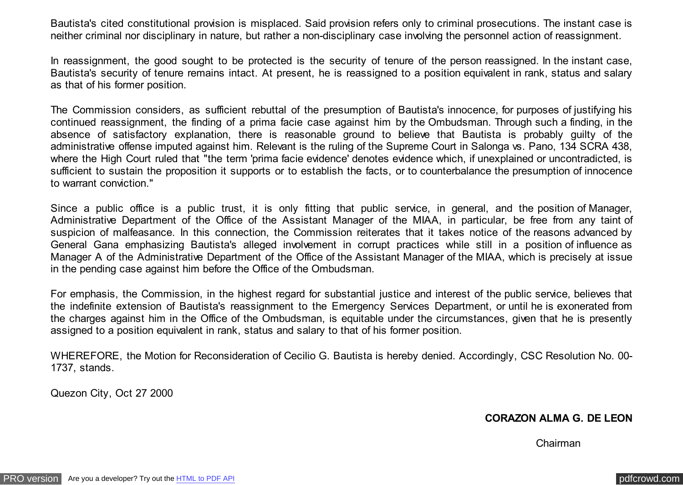Bautista's cited constitutional provision is misplaced. Said provision refers only to criminal prosecutions. The instant case is neither criminal nor disciplinary in nature, but rather a non-disciplinary case involving the personnel action of reassignment.

In reassignment, the good sought to be protected is the security of tenure of the person reassigned. In the instant case, Bautista's security of tenure remains intact. At present, he is reassigned to a position equivalent in rank, status and salary as that of his former position.

The Commission considers, as sufficient rebuttal of the presumption of Bautista's innocence, for purposes of justifying his continued reassignment, the finding of a prima facie case against him by the Ombudsman. Through such a finding, in the absence of satisfactory explanation, there is reasonable ground to believe that Bautista is probably guilty of the administrative offense imputed against him. Relevant is the ruling of the Supreme Court in Salonga vs. Pano, 134 SCRA 438, where the High Court ruled that "the term 'prima facie evidence' denotes evidence which, if unexplained or uncontradicted, is sufficient to sustain the proposition it supports or to establish the facts, or to counterbalance the presumption of innocence to warrant conviction."

Since a public office is a public trust, it is only fitting that public service, in general, and the position of Manager, Administrative Department of the Office of the Assistant Manager of the MIAA, in particular, be free from any taint of suspicion of malfeasance. In this connection, the Commission reiterates that it takes notice of the reasons advanced by General Gana emphasizing Bautista's alleged involvement in corrupt practices while still in a position of influence as Manager A of the Administrative Department of the Office of the Assistant Manager of the MIAA, which is precisely at issue in the pending case against him before the Office of the Ombudsman.

For emphasis, the Commission, in the highest regard for substantial justice and interest of the public service, believes that the indefinite extension of Bautista's reassignment to the Emergency Services Department, or until he is exonerated from the charges against him in the Office of the Ombudsman, is equitable under the circumstances, given that he is presently assigned to a position equivalent in rank, status and salary to that of his former position.

WHEREFORE, the Motion for Reconsideration of Cecilio G. Bautista is hereby denied. Accordingly, CSC Resolution No. 00- 1737, stands.

Quezon City, Oct 27 2000

### **CORAZON ALMA G. DE LEON**

Chairman